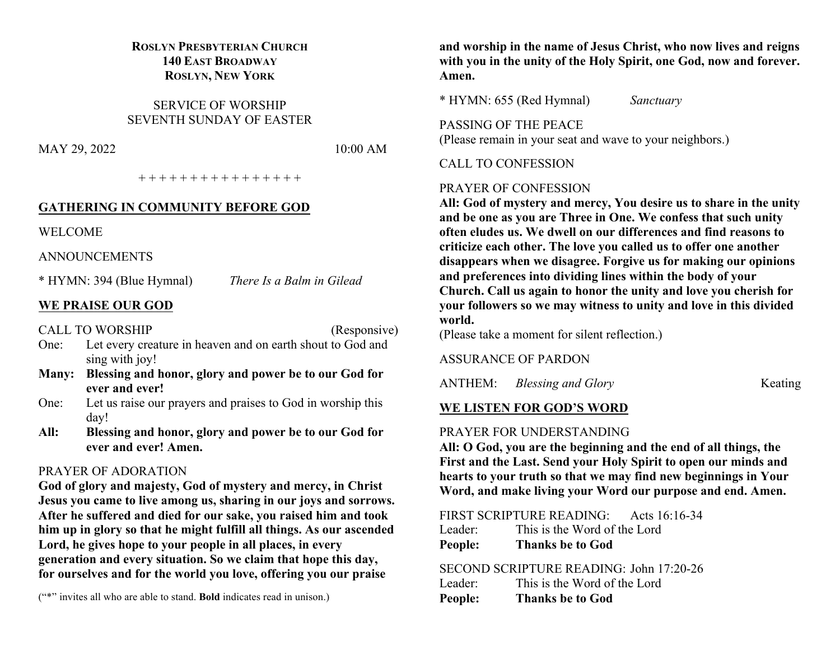# **ROSLYN PRESBYTERIAN CHURCH 140 EAST BROADWAY ROSLYN, NEW YORK**

SERVICE OF WORSHIP SEVENTH SUNDAY OF EASTER

MAY 29, 2022 10:00 AM

+ + + + + + + + + + + + + + + +

#### **GATHERING IN COMMUNITY BEFORE GOD**

WELCOME

ANNOUNCEMENTS

\* HYMN: 394 (Blue Hymnal) *There Is a Balm in Gilead*

# **WE PRAISE OUR GOD**

CALL TO WORSHIP (Responsive)

- One: Let every creature in heaven and on earth shout to God and sing with joy!
- **Many: Blessing and honor, glory and power be to our God for ever and ever!**
- One: Let us raise our prayers and praises to God in worship this day!
- **All: Blessing and honor, glory and power be to our God for ever and ever! Amen.**

# PRAYER OF ADORATION

**God of glory and majesty, God of mystery and mercy, in Christ Jesus you came to live among us, sharing in our joys and sorrows. After he suffered and died for our sake, you raised him and took him up in glory so that he might fulfill all things. As our ascended Lord, he gives hope to your people in all places, in every generation and every situation. So we claim that hope this day, for ourselves and for the world you love, offering you our praise** 

("\*" invites all who are able to stand. **Bold** indicates read in unison.)

**and worship in the name of Jesus Christ, who now lives and reigns with you in the unity of the Holy Spirit, one God, now and forever. Amen.**

\* HYMN: 655 (Red Hymnal) *Sanctuary*

PASSING OF THE PEACE (Please remain in your seat and wave to your neighbors.)

### CALL TO CONFESSION

# PRAYER OF CONFESSION

**All: God of mystery and mercy, You desire us to share in the unity and be one as you are Three in One. We confess that such unity often eludes us. We dwell on our differences and find reasons to criticize each other. The love you called us to offer one another disappears when we disagree. Forgive us for making our opinions and preferences into dividing lines within the body of your Church. Call us again to honor the unity and love you cherish for your followers so we may witness to unity and love in this divided world.**

(Please take a moment for silent reflection.)

#### ASSURANCE OF PARDON

ANTHEM: *Blessing and Glory* Keating

# **WE LISTEN FOR GOD'S WORD**

# PRAYER FOR UNDERSTANDING

**All: O God, you are the beginning and the end of all things, the First and the Last. Send your Holy Spirit to open our minds and hearts to your truth so that we may find new beginnings in Your Word, and make living your Word our purpose and end. Amen.**

FIRST SCRIPTURE READING: Acts 16:16-34

| People: | <b>Thanks be to God</b>      |
|---------|------------------------------|
| Leader: | This is the Word of the Lord |

# SECOND SCRIPTURE READING: John 17:20-26

| Leader: | This is the Word of the Lord |
|---------|------------------------------|
| People: | <b>Thanks be to God</b>      |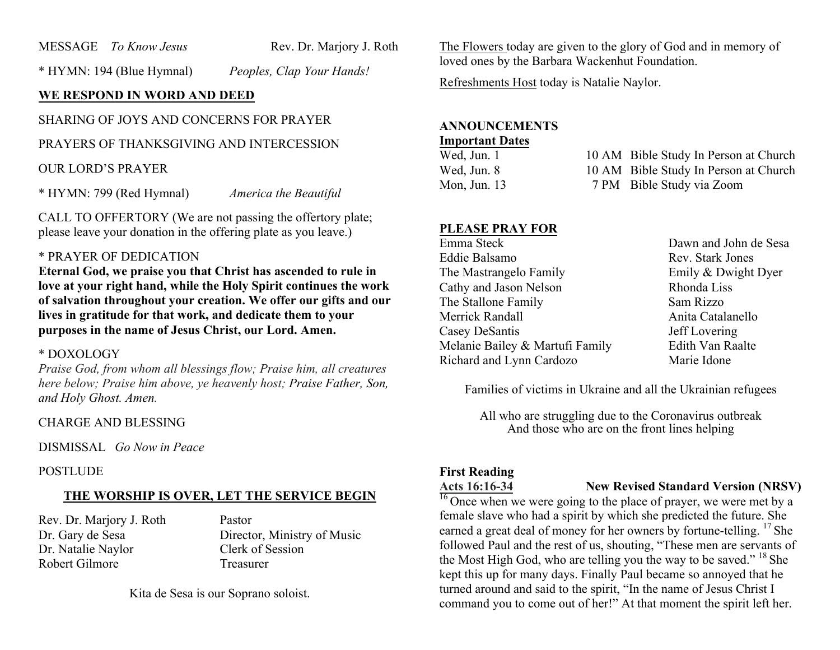MESSAGE *To Know Jesus* Rev. Dr. Marjory J. Roth

\* HYMN: 194 (Blue Hymnal) *Peoples, Clap Your Hands!*

# **WE RESPOND IN WORD AND DEED**

# SHARING OF JOYS AND CONCERNS FOR PRAYER

PRAYERS OF THANKSGIVING AND INTERCESSION

### OUR LORD'S PRAYER

\* HYMN: 799 (Red Hymnal) *America the Beautiful*

CALL TO OFFERTORY (We are not passing the offertory plate; please leave your donation in the offering plate as you leave.)

# \* PRAYER OF DEDICATION

**Eternal God, we praise you that Christ has ascended to rule in love at your right hand, while the Holy Spirit continues the work of salvation throughout your creation. We offer our gifts and our lives in gratitude for that work, and dedicate them to your purposes in the name of Jesus Christ, our Lord. Amen.**

#### \* DOXOLOGY

*Praise God, from whom all blessings flow; Praise him, all creatures here below; Praise him above, ye heavenly host; Praise Father, Son, and Holy Ghost. Amen.*

#### CHARGE AND BLESSING

DISMISSAL *Go Now in Peace*

#### POSTLUDE

#### **THE WORSHIP IS OVER, LET THE SERVICE BEGIN**

Rev. Dr. Marjory J. Roth Pastor Dr. Natalie Naylor Clerk of Session Robert Gilmore Treasurer

Dr. Gary de Sesa Director, Ministry of Music

Kita de Sesa is our Soprano soloist.

The Flowers today are given to the glory of God and in memory of loved ones by the Barbara Wackenhut Foundation.

Refreshments Host today is Natalie Naylor.

# **ANNOUNCEMENTS**

# **Important Dates**

10 AM Bible Study In Person at Church Wed, Jun. 8 10 AM Bible Study In Person at Church Mon, Jun. 13 7 PM Bible Study via Zoom

#### **PLEASE PRAY FOR**

Emma Steck Dawn and John de Sesa Eddie Balsamo Rev. Stark Jones The Mastrangelo Family **Emily & Dwight Dyer** Cathy and Jason Nelson Rhonda Liss The Stallone Family Sam Rizzo Merrick Randall **Anita Catalanello** Casey DeSantis Jeff Lovering Melanie Bailey & Martufi Family Edith Van Raalte Richard and Lynn Cardozo Marie Idone

Families of victims in Ukraine and all the Ukrainian refugees

All who are struggling due to the Coronavirus outbreak And those who are on the front lines helping

# **First Reading**

#### **Acts 16:16-34 New Revised Standard Version (NRSV)**

 $\frac{16}{16}$  Once when we were going to the place of prayer, we were met by a female slave who had a spirit by which she predicted the future. She earned a great deal of money for her owners by fortune-telling. <sup>17</sup> She followed Paul and the rest of us, shouting, "These men are servants of the Most High God, who are telling you the way to be saved." <sup>18</sup> She kept this up for many days. Finally Paul became so annoyed that he turned around and said to the spirit, "In the name of Jesus Christ I command you to come out of her!" At that moment the spirit left her.